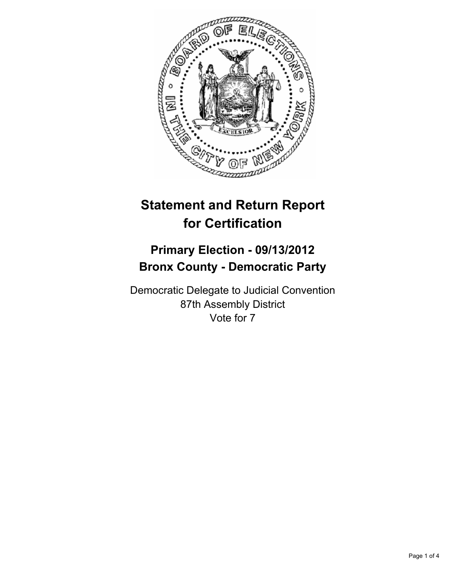

# **Statement and Return Report for Certification**

## **Primary Election - 09/13/2012 Bronx County - Democratic Party**

Democratic Delegate to Judicial Convention 87th Assembly District Vote for 7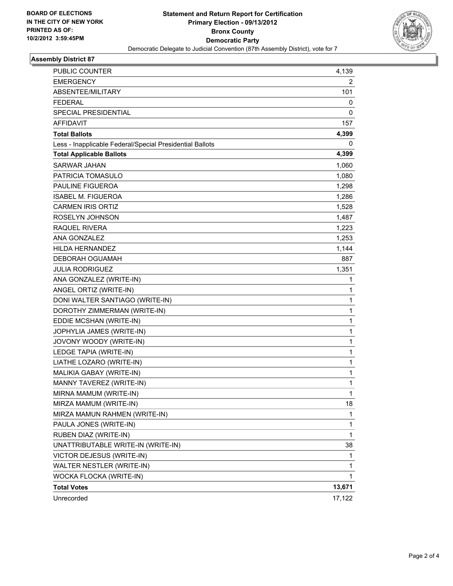

#### **Assembly District 87**

| PUBLIC COUNTER                                           | 4,139  |
|----------------------------------------------------------|--------|
| <b>EMERGENCY</b>                                         | 2      |
| ABSENTEE/MILITARY                                        | 101    |
| <b>FEDERAL</b>                                           | 0      |
| SPECIAL PRESIDENTIAL                                     | 0      |
| <b>AFFIDAVIT</b>                                         | 157    |
| <b>Total Ballots</b>                                     | 4,399  |
| Less - Inapplicable Federal/Special Presidential Ballots | 0      |
| <b>Total Applicable Ballots</b>                          | 4,399  |
| SARWAR JAHAN                                             | 1,060  |
| PATRICIA TOMASULO                                        | 1,080  |
| <b>PAULINE FIGUEROA</b>                                  | 1,298  |
| <b>ISABEL M. FIGUEROA</b>                                | 1,286  |
| <b>CARMEN IRIS ORTIZ</b>                                 | 1,528  |
| ROSELYN JOHNSON                                          | 1,487  |
| RAQUEL RIVERA                                            | 1,223  |
| <b>ANA GONZALEZ</b>                                      | 1,253  |
| <b>HILDA HERNANDEZ</b>                                   | 1,144  |
| <b>DEBORAH OGUAMAH</b>                                   | 887    |
| <b>JULIA RODRIGUEZ</b>                                   | 1,351  |
| ANA GONZALEZ (WRITE-IN)                                  | 1      |
| ANGEL ORTIZ (WRITE-IN)                                   | 1      |
| DONI WALTER SANTIAGO (WRITE-IN)                          | 1      |
| DOROTHY ZIMMERMAN (WRITE-IN)                             | 1      |
| EDDIE MCSHAN (WRITE-IN)                                  | 1      |
| JOPHYLIA JAMES (WRITE-IN)                                | 1      |
| JOVONY WOODY (WRITE-IN)                                  | 1      |
| LEDGE TAPIA (WRITE-IN)                                   | 1      |
| LIATHE LOZARO (WRITE-IN)                                 | 1      |
| MALIKIA GABAY (WRITE-IN)                                 | 1      |
| MANNY TAVEREZ (WRITE-IN)                                 | 1      |
| MIRNA MAMUM (WRITE-IN)                                   | 1      |
| MIRZA MAMUM (WRITE-IN)                                   | 18     |
| MIRZA MAMUN RAHMEN (WRITE-IN)                            | 1      |
| PAULA JONES (WRITE-IN)                                   | 1      |
| RUBEN DIAZ (WRITE-IN)                                    | 1      |
| UNATTRIBUTABLE WRITE-IN (WRITE-IN)                       | 38     |
| VICTOR DEJESUS (WRITE-IN)                                | 1      |
| WALTER NESTLER (WRITE-IN)                                | 1      |
| WOCKA FLOCKA (WRITE-IN)                                  | 1      |
| <b>Total Votes</b>                                       | 13,671 |
| Unrecorded                                               | 17,122 |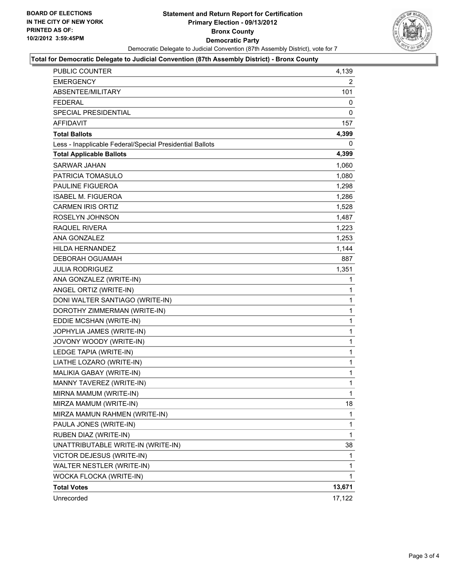

#### **Total for Democratic Delegate to Judicial Convention (87th Assembly District) - Bronx County**

| <b>PUBLIC COUNTER</b>                                    | 4,139        |
|----------------------------------------------------------|--------------|
| <b>EMERGENCY</b>                                         | 2            |
| ABSENTEE/MILITARY                                        | 101          |
| <b>FEDERAL</b>                                           | 0            |
| SPECIAL PRESIDENTIAL                                     | 0            |
| <b>AFFIDAVIT</b>                                         | 157          |
| <b>Total Ballots</b>                                     | 4,399        |
| Less - Inapplicable Federal/Special Presidential Ballots | 0            |
| <b>Total Applicable Ballots</b>                          | 4,399        |
| SARWAR JAHAN                                             | 1,060        |
| PATRICIA TOMASULO                                        | 1,080        |
| PAULINE FIGUEROA                                         | 1,298        |
| ISABEL M. FIGUEROA                                       | 1,286        |
| <b>CARMEN IRIS ORTIZ</b>                                 | 1,528        |
| ROSELYN JOHNSON                                          | 1,487        |
| RAQUEL RIVERA                                            | 1,223        |
| <b>ANA GONZALEZ</b>                                      | 1,253        |
| <b>HILDA HERNANDEZ</b>                                   | 1,144        |
| DEBORAH OGUAMAH                                          | 887          |
| <b>JULIA RODRIGUEZ</b>                                   | 1,351        |
| ANA GONZALEZ (WRITE-IN)                                  | 1            |
| ANGEL ORTIZ (WRITE-IN)                                   | 1            |
| DONI WALTER SANTIAGO (WRITE-IN)                          | 1            |
| DOROTHY ZIMMERMAN (WRITE-IN)                             | 1            |
| EDDIE MCSHAN (WRITE-IN)                                  | 1            |
| JOPHYLIA JAMES (WRITE-IN)                                | 1            |
| JOVONY WOODY (WRITE-IN)                                  | 1            |
| LEDGE TAPIA (WRITE-IN)                                   | $\mathbf{1}$ |
| LIATHE LOZARO (WRITE-IN)                                 | 1            |
| MALIKIA GABAY (WRITE-IN)                                 | 1            |
| MANNY TAVEREZ (WRITE-IN)                                 | $\mathbf{1}$ |
| MIRNA MAMUM (WRITE-IN)                                   | 1            |
| MIRZA MAMUM (WRITE-IN)                                   | 18           |
| MIRZA MAMUN RAHMEN (WRITE-IN)                            | 1            |
| PAULA JONES (WRITE-IN)                                   | 1            |
| RUBEN DIAZ (WRITE-IN)                                    | $\mathbf{1}$ |
| UNATTRIBUTABLE WRITE-IN (WRITE-IN)                       | 38           |
| VICTOR DEJESUS (WRITE-IN)                                | 1            |
| WALTER NESTLER (WRITE-IN)                                | 1            |
| WOCKA FLOCKA (WRITE-IN)                                  | 1            |
| <b>Total Votes</b>                                       | 13,671       |
| Unrecorded                                               | 17,122       |